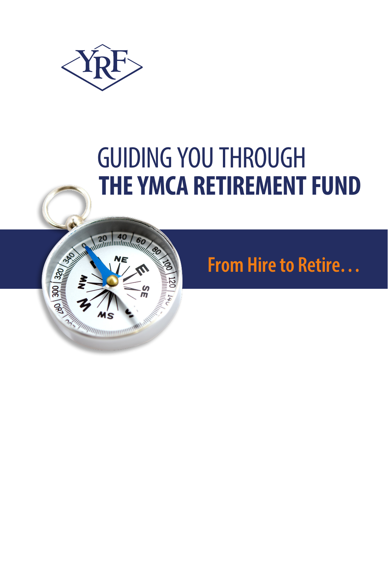

# GUIDING YOU THROUGH **THE YMCA RETIREMENT FUND**



## **From Hire to Retire…**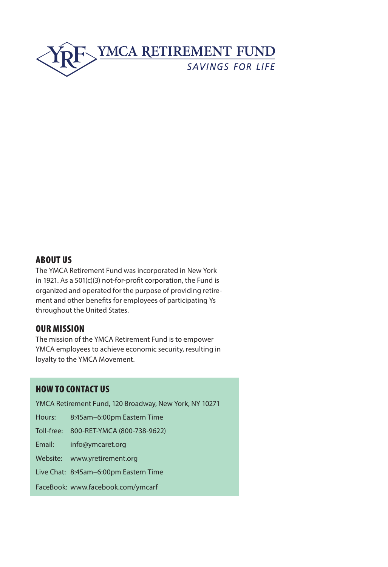

#### ABOUT US

The YMCA Retirement Fund was incorporated in New York in 1921. As a 501(c)(3) not-for-profit corporation, the Fund is organized and operated for the purpose of providing retirement and other benefits for employees of participating Ys throughout the United States.

#### OUR MISSION

The mission of the YMCA Retirement Fund is to empower YMCA employees to achieve economic security, resulting in loyalty to the YMCA Movement.

#### HOW TO CONTACT US

YMCA Retirement Fund, 120 Broadway, New York, NY 10271

Hours: 8:45am–6:00pm Eastern Time

Toll-free: 800-RET-YMCA (800-738-9622)

Email: info@ymcaret.org

Website: www.yretirement.org

Live Chat: 8:45am–6:00pm Eastern Time

FaceBook: www.facebook.com/ymcarf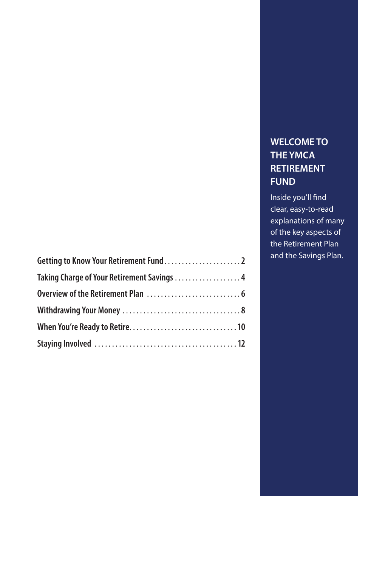| Taking Charge of Your Retirement Savings 4 |  |
|--------------------------------------------|--|
|                                            |  |
|                                            |  |
|                                            |  |
|                                            |  |

### **WELCOME TO THE YMCA RETIREMENT FUND**

Inside you'll find clear, easy-to-read explanations of many of the key aspects of the Retirement Plan and the Savings Plan.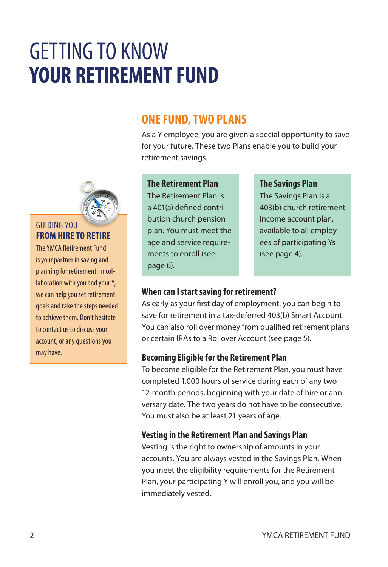## GETTING TO KNOW **YOUR RETIREMENT FUND**

## **ONE FUND, TWO PLANS**

As a Y employee, you are given a special opportunity to save for your future. These two Plans enable you to build your retirement savings.



#### GUIDING YOU **FROM HIRE TO RETIRE**

The YMCA Retirement Fund is your partner in saving and planning for retirement. In collaboration with you and your Y, we can help you set retirement goals and take the steps needed to achieve them. Don't hesitate to contact us to discuss your account, or any questions you may have.

#### **The Retirement Plan**

The Retirement Plan is a 401(a) defined contribution church pension plan. You must meet the age and service requirements to enroll (see page 6).

#### **The Savings Plan**

The Savings Plan is a 403(b) church retirement income account plan, available to all employees of participating Ys (see page 4).

#### **When can I start saving for retirement?**

As early as your first day of employment, you can begin to save for retirement in a tax-deferred 403(b) Smart Account. You can also roll over money from qualified retirement plans or certain IRAs to a Rollover Account (see page 5).

#### **Becoming Eligible for the Retirement Plan**

To become eligible for the Retirement Plan, you must have completed 1,000 hours of service during each of any two 12-month periods, beginning with your date of hire or anniversary date. The two years do not have to be consecutive. You must also be at least 21 years of age.

#### **Vesting in the Retirement Plan and Savings Plan**

Vesting is the right to ownership of amounts in your accounts. You are always vested in the Savings Plan. When you meet the eligibility requirements for the Retirement Plan, your participating Y will enroll you, and you will be immediately vested.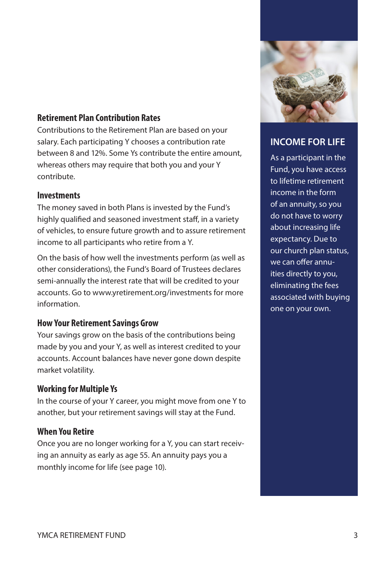#### **Retirement Plan Contribution Rates**

Contributions to the Retirement Plan are based on your salary. Each participating Y chooses a contribution rate between 8 and 12%. Some Ys contribute the entire amount, whereas others may require that both you and your Y contribute.

#### **Investments**

The money saved in both Plans is invested by the Fund's highly qualified and seasoned investment staff, in a variety of vehicles, to ensure future growth and to assure retirement income to all participants who retire from a Y.

On the basis of how well the investments perform (as well as other considerations), the Fund's Board of Trustees declares semi-annually the interest rate that will be credited to your accounts. Go to www.yretirement.org/investments for more information.

#### **How Your Retirement Savings Grow**

Your savings grow on the basis of the contributions being made by you and your Y, as well as interest credited to your accounts. Account balances have never gone down despite market volatility.

#### **Working for Multiple Ys**

In the course of your Y career, you might move from one Y to another, but your retirement savings will stay at the Fund.

#### **When You Retire**

Once you are no longer working for a Y, you can start receiving an annuity as early as age 55. An annuity pays you a monthly income for life (see page 10).



### **INCOME FOR LIFE**

As a participant in the Fund, you have access to lifetime retirement income in the form of an annuity, so you do not have to worry about increasing life expectancy. Due to our church plan status, we can offer annuities directly to you, eliminating the fees associated with buying one on your own.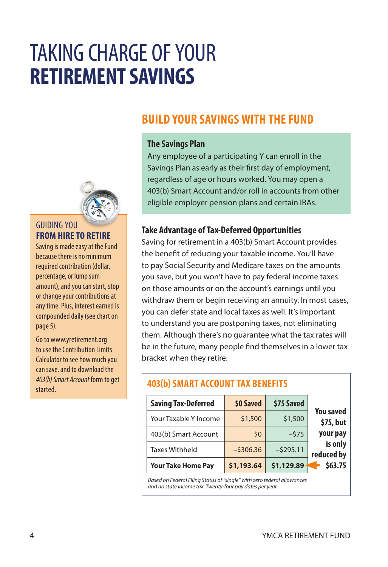## TAKING CHARGE OF YOUR **RETIREMENT SAVINGS**

## **BUILD YOUR SAVINGS WITH THE FUND**

#### **The Savings Plan**

Any employee of a participating Y can enroll in the Savings Plan as early as their first day of employment, regardless of age or hours worked. You may open a 403(b) Smart Account and/or roll in accounts from other eligible employer pension plans and certain IRAs.

#### **Take Advantage of Tax-Deferred Opportunities**

Saving for retirement in a 403(b) Smart Account provides the benefit of reducing your taxable income. You'll have to pay Social Security and Medicare taxes on the amounts you save, but you won't have to pay federal income taxes on those amounts or on the account's earnings until you withdraw them or begin receiving an annuity. In most cases, you can defer state and local taxes as well. It's important to understand you are postponing taxes, not eliminating them. Although there's no guarantee what the tax rates will be in the future, many people find themselves in a lower tax bracket when they retire.

| <b>Saving Tax-Deferred</b> | \$0 Saved  | \$75 Saved |                               |
|----------------------------|------------|------------|-------------------------------|
| Your Taxable Y Income      | \$1,500    | \$1,500    | <b>You saved</b><br>\$75, but |
| 403(b) Smart Account       | \$0        | $-575$     | your pay                      |
| <b>Taxes Withheld</b>      | $-5306.36$ | $-5295.11$ | is only<br>reduced by         |
| <b>Your Take Home Pay</b>  | \$1,193.64 | \$1,129.89 | \$63.75                       |

*Based on Federal Filing Status of "single" with zero federal allowances and no state income tax. Twenty-four pay dates per year.*

**403(b) SMART ACCOUNT TAX BENEFITS**



#### GUIDING YOU **FROM HIRE TO RETIRE**

Saving is made easy at the Fund because there is no minimum required contribution (dollar, percentage, or lump sum amount), and you can start, stop or change your contributions at any time. Plus, interest earned is compounded daily (see chart on page 5).

Go to www.yretirement.org to use the Contribution Limits Calculator to see how much you can save, and to download the *403(b) Smart Account* form to get started.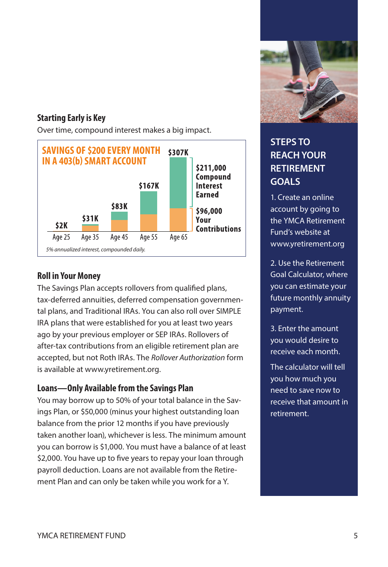#### **Starting Early is Key**

Over time, compound interest makes a big impact.



#### **Roll in Your Money**

The Savings Plan accepts rollovers from qualified plans, tax-deferred annuities, deferred compensation governmental plans, and Traditional IRAs. You can also roll over SIMPLE IRA plans that were established for you at least two years ago by your previous employer or SEP IRAs. Rollovers of after-tax contributions from an eligible retirement plan are accepted, but not Roth IRAs. The *Rollover Authorization* form is available at www.yretirement.org.

#### **Loans—Only Available from the Savings Plan**

You may borrow up to 50% of your total balance in the Savings Plan, or \$50,000 (minus your highest outstanding loan balance from the prior 12 months if you have previously taken another loan), whichever is less. The minimum amount you can borrow is \$1,000. You must have a balance of at least \$2,000. You have up to five years to repay your loan through payroll deduction. Loans are not available from the Retirement Plan and can only be taken while you work for a Y.



### **STEPS TO REACH YOUR RETIREMENT GOALS**

1. Create an online account by going to the YMCA Retirement Fund's website at www.yretirement.org

2. Use the Retirement Goal Calculator, where you can estimate your future monthly annuity payment.

3. Enter the amount you would desire to receive each month.

The calculator will tell you how much you need to save now to receive that amount in retirement.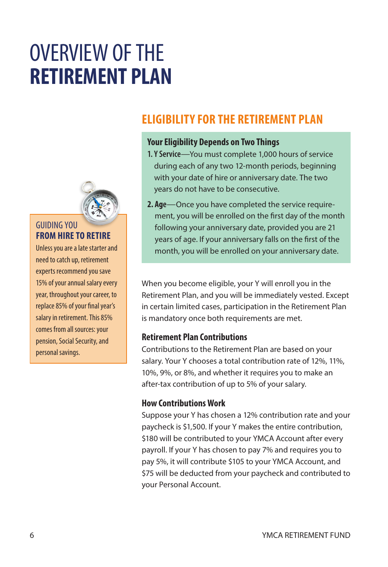## OVERVIEW OF THE **RETIREMENT PLAN**



#### GUIDING YOU **FROM HIRE TO RETIRE**

Unless you are a late starter and need to catch up, retirement experts recommend you save 15% of your annual salary every year, throughout your career, to replace 85% of your final year's salary in retirement. This 85% comes from all sources: your pension, Social Security, and personal savings.

## **ELIGIBILITY FOR THE RETIREMENT PLAN**

#### **Your Eligibility Depends on Two Things**

- **1. Y Service**—You must complete 1,000 hours of service during each of any two 12-month periods, beginning with your date of hire or anniversary date. The two years do not have to be consecutive.
- **2. Age**—Once you have completed the service requirement, you will be enrolled on the first day of the month following your anniversary date, provided you are 21 years of age. If your anniversary falls on the first of the month, you will be enrolled on your anniversary date.

When you become eligible, your Y will enroll you in the Retirement Plan, and you will be immediately vested. Except in certain limited cases, participation in the Retirement Plan is mandatory once both requirements are met.

#### **Retirement Plan Contributions**

Contributions to the Retirement Plan are based on your salary. Your Y chooses a total contribution rate of 12%, 11%, 10%, 9%, or 8%, and whether it requires you to make an after-tax contribution of up to 5% of your salary.

#### **How Contributions Work**

Suppose your Y has chosen a 12% contribution rate and your paycheck is \$1,500. If your Y makes the entire contribution, \$180 will be contributed to your YMCA Account after every payroll. If your Y has chosen to pay 7% and requires you to pay 5%, it will contribute \$105 to your YMCA Account, and \$75 will be deducted from your paycheck and contributed to your Personal Account.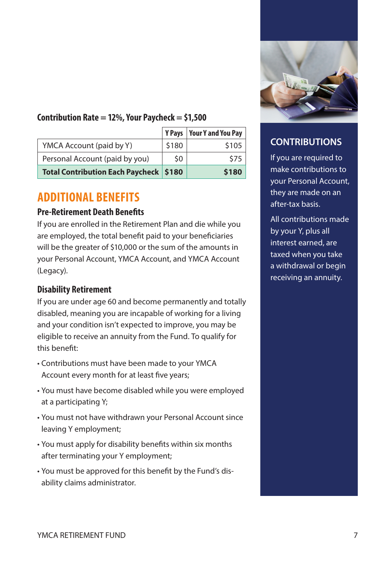

#### **Contribution Rate = 12%, Your Paycheck = \$1,500**

|                                          | <b>Y</b> Pavs | <b>Your Y and You Pay</b> |
|------------------------------------------|---------------|---------------------------|
| YMCA Account (paid by Y)                 | \$180         | \$105                     |
| Personal Account (paid by you)           | \$0           | \$75                      |
| Total Contribution Each Paycheck   \$180 |               | \$180                     |

### **ADDITIONAL BENEFITS**

#### **Pre-Retirement Death Benefits**

If you are enrolled in the Retirement Plan and die while you are employed, the total benefit paid to your beneficiaries will be the greater of \$10,000 or the sum of the amounts in your Personal Account, YMCA Account, and YMCA Account (Legacy).

#### **Disability Retirement**

If you are under age 60 and become permanently and totally disabled, meaning you are incapable of working for a living and your condition isn't expected to improve, you may be eligible to receive an annuity from the Fund. To qualify for this benefit:

- Contributions must have been made to your YMCA Account every month for at least five years;
- You must have become disabled while you were employed at a participating Y;
- You must not have withdrawn your Personal Account since leaving Y employment;
- You must apply for disability benefits within six months after terminating your Y employment;
- You must be approved for this benefit by the Fund's disability claims administrator.

### **CONTRIBUTIONS**

If you are required to make contributions to your Personal Account, they are made on an after-tax basis.

All contributions made by your Y, plus all interest earned, are taxed when you take a withdrawal or begin receiving an annuity.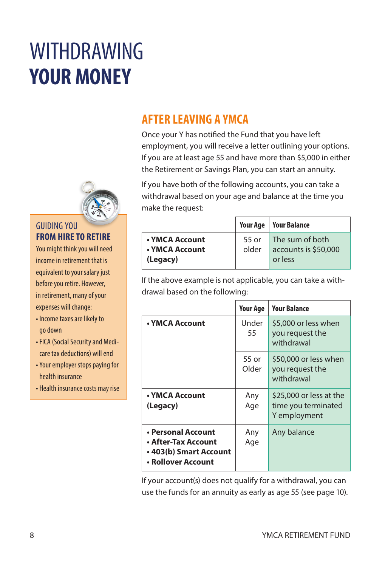# WITHDRAWING **YOUR MONEY**



#### GUIDING YOU **FROM HIRE TO RETIRE**

You might think you will need income in retirement that is equivalent to your salary just before you retire. However, in retirement, many of your expenses will change:

- Income taxes are likely to go down
- FICA (Social Security and Medicare tax deductions) will end
- Your employer stops paying for health insurance
- Health insurance costs may rise

## **AFTER LEAVING A YMCA**

Once your Y has notified the Fund that you have left employment, you will receive a letter outlining your options. If you are at least age 55 and have more than \$5,000 in either the Retirement or Savings Plan, you can start an annuity.

If you have both of the following accounts, you can take a withdrawal based on your age and balance at the time you make the request:

|                                              |                | <b>Your Age   Your Balance</b>                     |
|----------------------------------------------|----------------|----------------------------------------------------|
| • YMCA Account<br>• YMCA Account<br>(Legacy) | 55 or<br>older | The sum of both<br>accounts is \$50,000<br>or less |

If the above example is not applicable, you can take a withdrawal based on the following:

|                                                                                           | <b>Your Age</b> | <b>Your Balance</b>                                            |
|-------------------------------------------------------------------------------------------|-----------------|----------------------------------------------------------------|
| • YMCA Account                                                                            | Under<br>55     | \$5,000 or less when<br>you request the<br>withdrawal          |
|                                                                                           | 55 or<br>Older  | \$50,000 or less when<br>you request the<br>withdrawal         |
| • YMCA Account<br>(Legacy)                                                                | Any<br>Age      | \$25,000 or less at the<br>time you terminated<br>Y employment |
| • Personal Account<br>• After-Tax Account<br>• 403(b) Smart Account<br>• Rollover Account | Any<br>Age      | Any balance                                                    |

If your account(s) does not qualify for a withdrawal, you can use the funds for an annuity as early as age 55 (see page 10).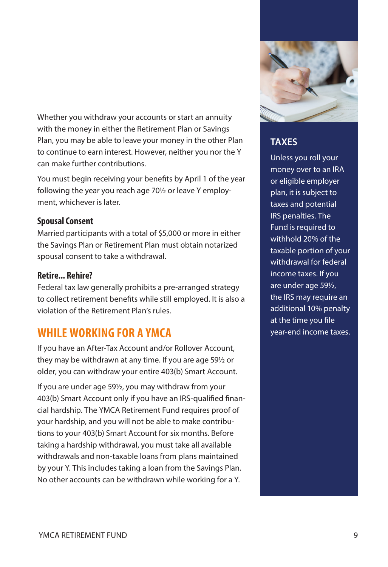Whether you withdraw your accounts or start an annuity with the money in either the Retirement Plan or Savings Plan, you may be able to leave your money in the other Plan to continue to earn interest. However, neither you nor the Y can make further contributions.

You must begin receiving your benefits by April 1 of the year following the year you reach age 70½ or leave Y employment, whichever is later.

#### **Spousal Consent**

Married participants with a total of \$5,000 or more in either the Savings Plan or Retirement Plan must obtain notarized spousal consent to take a withdrawal.

#### **Retire... Rehire?**

Federal tax law generally prohibits a pre-arranged strategy to collect retirement benefits while still employed. It is also a violation of the Retirement Plan's rules.

## **WHILE WORKING FOR A YMCA**

If you have an After-Tax Account and/or Rollover Account, they may be withdrawn at any time. If you are age 59½ or older, you can withdraw your entire 403(b) Smart Account.

If you are under age 59½, you may withdraw from your 403(b) Smart Account only if you have an IRS-qualified financial hardship. The YMCA Retirement Fund requires proof of your hardship, and you will not be able to make contributions to your 403(b) Smart Account for six months. Before taking a hardship withdrawal, you must take all available withdrawals and non-taxable loans from plans maintained by your Y. This includes taking a loan from the Savings Plan. No other accounts can be withdrawn while working for a Y.



### **TAXES**

Unless you roll your money over to an IRA or eligible employer plan, it is subject to taxes and potential IRS penalties. The Fund is required to withhold 20% of the taxable portion of your withdrawal for federal income taxes. If you are under age 59½, the IRS may require an additional 10% penalty at the time you file year-end income taxes.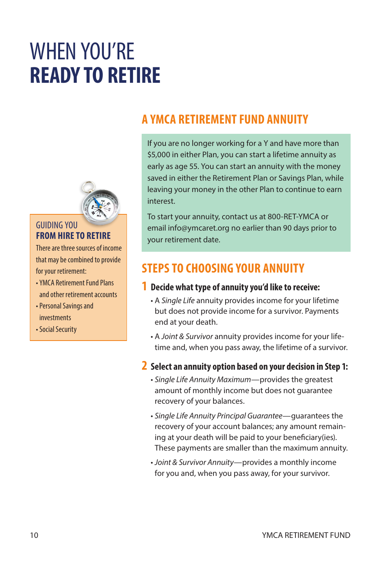## WHEN YOU'RE **READY TO RETIRE**



#### GUIDING YOU **FROM HIRE TO RETIRE**

There are three sources of income that may be combined to provide for your retirement:

- YMCA Retirement Fund Plans and other retirement accounts
- Personal Savings and investments
- Social Security

## **A YMCA RETIREMENT FUND ANNUITY**

If you are no longer working for a Y and have more than \$5,000 in either Plan, you can start a lifetime annuity as early as age 55. You can start an annuity with the money saved in either the Retirement Plan or Savings Plan, while leaving your money in the other Plan to continue to earn interest.

To start your annuity, contact us at 800-RET-YMCA or email info@ymcaret.org no earlier than 90 days prior to your retirement date.

## **STEPS TO CHOOSING YOUR ANNUITY**

#### **1 Decide what type of annuity you'd like to receive:**

- A *Single Life* annuity provides income for your lifetime but does not provide income for a survivor. Payments end at your death.
- A *Joint & Survivor* annuity provides income for your lifetime and, when you pass away, the lifetime of a survivor.
- **2 Select an annuity option based on your decision in Step 1:** 
	- *Single Life Annuity Maximum*—provides the greatest amount of monthly income but does not guarantee recovery of your balances.
	- *Single Life Annuity Principal Guarantee*—guarantees the recovery of your account balances; any amount remaining at your death will be paid to your beneficiary(ies). These payments are smaller than the maximum annuity.
	- *Joint & Survivor Annuity*—provides a monthly income for you and, when you pass away, for your survivor.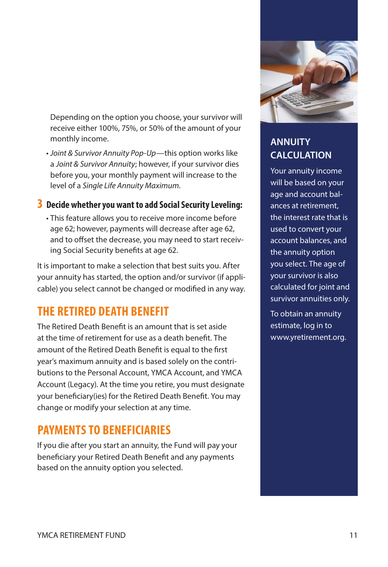Depending on the option you choose, your survivor will receive either 100%, 75%, or 50% of the amount of your monthly income.

• *Joint & Survivor Annuity Pop-Up*—this option works like a *Joint & Survivor Annuity*; however, if your survivor dies before you, your monthly payment will increase to the level of a *Single Life Annuity Maximum*.

#### **3 Decide whether you want to add Social Security Leveling:**

• This feature allows you to receive more income before age 62; however, payments will decrease after age 62, and to offset the decrease, you may need to start receiving Social Security benefits at age 62.

It is important to make a selection that best suits you. After your annuity has started, the option and/or survivor (if applicable) you select cannot be changed or modified in any way.

## **THE RETIRED DEATH BENEFIT**

The Retired Death Benefit is an amount that is set aside at the time of retirement for use as a death benefit. The amount of the Retired Death Benefit is equal to the first year's maximum annuity and is based solely on the contributions to the Personal Account, YMCA Account, and YMCA Account (Legacy). At the time you retire, you must designate your beneficiary(ies) for the Retired Death Benefit. You may change or modify your selection at any time.

## **PAYMENTS TO BENEFICIARIES**

If you die after you start an annuity, the Fund will pay your beneficiary your Retired Death Benefit and any payments based on the annuity option you selected.



### **ANNUITY CALCULATION**

Your annuity income will be based on your age and account balances at retirement, the interest rate that is used to convert your account balances, and the annuity option you select. The age of your survivor is also calculated for joint and survivor annuities only.

To obtain an annuity estimate, log in to www.yretirement.org.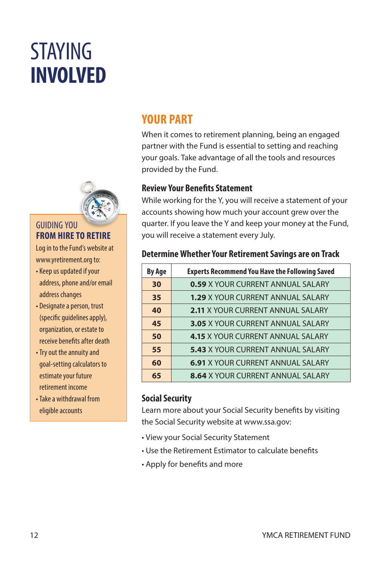# STAYING **INVOLVED**



#### GUIDING YOU **FROM HIRE TO RETIRE**

Log in to the Fund's website at www.yretirement.org to:

- Keep us updated if your address, phone and/or email address changes
- Designate a person, trust (specific guidelines apply), organization, or estate to receive benefits after death
- Try out the annuity and goal-setting calculators to estimate your future retirement income
- Take a withdrawal from eligible accounts

## **YOUR PART**

When it comes to retirement planning, being an engaged partner with the Fund is essential to setting and reaching your goals. Take advantage of all the tools and resources provided by the Fund.

#### **Review Your Benefits Statement**

While working for the Y, you will receive a statement of your accounts showing how much your account grew over the quarter. If you leave the Y and keep your money at the Fund, you will receive a statement every July.

#### **Determine Whether Your Retirement Savings are on Track**

| <b>By Age</b> | <b>Experts Recommend You Have the Following Saved</b> |
|---------------|-------------------------------------------------------|
| 30            | <b>0.59 X YOUR CURRENT ANNUAL SALARY</b>              |
| 35            | <b>1.29 X YOUR CURRENT ANNUAL SALARY</b>              |
| 40            | <b>2.11 X YOUR CURRENT ANNUAL SALARY</b>              |
| 45            | <b>3.05 X YOUR CURRENT ANNUAL SALARY</b>              |
| 50            | <b>4.15 X YOUR CURRENT ANNUAL SALARY</b>              |
| 55            | 5.43 X YOUR CURRENT ANNUAL SALARY                     |
| 60            | <b>6.91 X YOUR CURRENT ANNUAL SALARY</b>              |
| 65            | <b>8.64 X YOUR CURRENT ANNUAL SALARY</b>              |

#### **Social Security**

Learn more about your Social Security benefits by visiting the Social Security website at www.ssa.gov:

- View your Social Security Statement
- Use the Retirement Estimator to calculate benefits
- Apply for benefits and more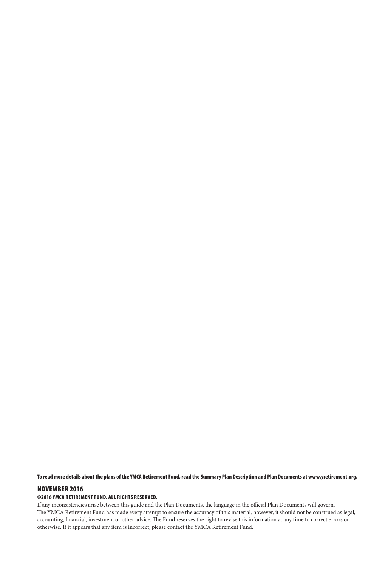To read more details about the plans of the YMCA Retirement Fund, read the Summary Plan Description and Plan Documents at www.yretirement.org.

#### NOVEMBER 2016

#### ©2016 YMCA RETIREMENT FUND. ALL RIGHTS RESERVED.

If any inconsistencies arise between this guide and the Plan Documents, the language in the official Plan Documents will govern. The YMCA Retirement Fund has made every attempt to ensure the accuracy of this material, however, it should not be construed as legal, accounting, financial, investment or other advice. The Fund reserves the right to revise this information at any time to correct errors or otherwise. If it appears that any item is incorrect, please contact the YMCA Retirement Fund.